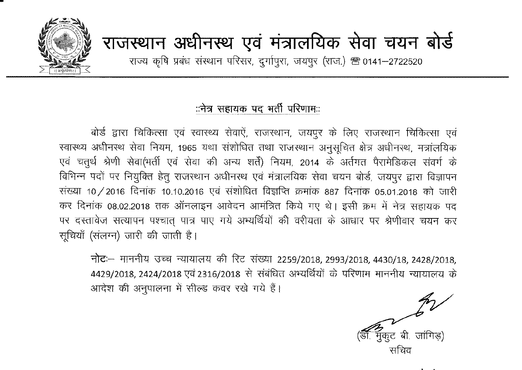

# राजस्थान अधीनस्थ एवं मंत्रालयिक सेवा चयन बोर्<del>ड</del>

राज्य कृषि प्रबंध संस्थान परिसर, दुर्गापुरा, जयपुर (राज.) <sup>28</sup>0141-2722520

### ंनेत्र सहायक पद भर्ती परिणामः:

बोर्ड द्वारा चिकित्सा एवं स्वास्थ्य सेवाऐं, राजस्थान, जयपूर के लिए राजस्थान चिकित्सा एवं स्वास्थ्य अधीनस्थ सेवा नियम, 1965 यथा संशोधित तथा राजस्थान अनुसूचित क्षेत्र अधीनस्थ, मत्रांलयिक एवं चतुर्थ श्रेणी सेवा(भर्ती एवं सेवा की अन्य शर्तें) नियम, 2014 के अर्तगत पैरामेडिकल संवर्ग के विभिन्न पदों पर नियुक्ति हेतु राजस्थान अधीनस्थ एवं मंत्रालयिक सेवा चयन बोर्ड, जयपुर द्वारा विज्ञापन संख्या 10/2016 दिनांक 10.10.2016 एवं संशोधित विज्ञप्ति क्रमांक 887 दिनांक 05.01.2018 को जारी कर दिनांक 08.02.2018 तक ऑनलाइन आवेदन आमंत्रित किये गए थे। इसी क्रम में नेत्र सहायक पद पर दस्तावेज सत्यापन पश्चात् पात्र पाए गये अभ्यर्थियों की वरीयता के आधार पर श्रेणीवार चयन कर सूचियाँ (संलग्न) जारी की जाती है।

नोट: माननीय उच्च न्यायालय की रिट संख्या 2259/2018, 2993/2018, 4430/18, 2428/2018, 4429/2018, 2424/2018 एवं 2316/2018 से संबंधित अभ्यर्थियों के परिणाम माननीय न्यायालय के आदेश की अनुपालना में सील्ड कवर रखे गये हैं।

.<br>मुकूट बी. जांगिड) सचिव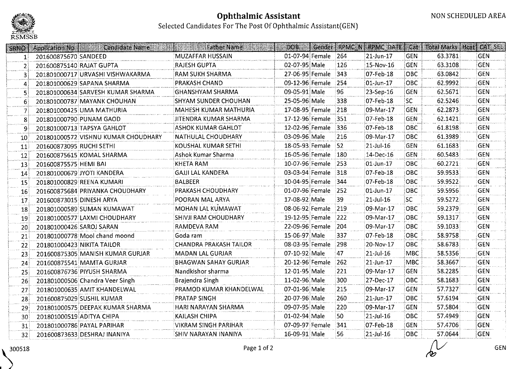

|                        | <b>SRNO</b>   Application No | <b>Candidate Name</b>               | <b>Father Name</b>          | DOB:                |      | Gender   RPMC N   RPMC DATE | Cat        | <b>Total Marks   Heat   CAT SEL</b> |            |
|------------------------|------------------------------|-------------------------------------|-----------------------------|---------------------|------|-----------------------------|------------|-------------------------------------|------------|
| $\mathbf{1}^{\dagger}$ | 201600875670 SANDEED         |                                     | <b>MUZAFFAR HUSSAIN</b>     | 01-07-94 Female 264 |      | 21-Jun-17                   | <b>GEN</b> | 63.3781                             | <b>GEN</b> |
| $\overline{2}$         | 201600875140 RAJAT GUPTA     |                                     | <b>RAJESH GUPTA</b>         | 02-07-95 Male       | 126  | 15-Nov-16                   | <b>GEN</b> | 63.3108                             | <b>GEN</b> |
| 3                      |                              | 201801000717 URVASHI VISHWAKARMA    | RAM SUKH SHARMA             | 27-06-95 Female 343 |      | 07-Feb-18                   | OBC        | 63.0842                             | <b>GEN</b> |
| 4                      |                              | 201801000629 SAPANA SHARMA          | PRAKASH CHAND               | 09-12-96 Female 254 |      | 01-Jun-17                   | OBC        | 62.9992                             | <b>GEN</b> |
| 51                     |                              | 201801000634 SARVESH KUMAR SHARMA   | <b>GHANSHYAM SHARMA</b>     | 09-05-91 Male       | 96   | 23-Sep-16                   | <b>GEN</b> | 62.5671                             | <b>GEN</b> |
| 6.                     |                              | 201801000787 MAYANK CHOUHAN         | <b>SHYAM SUNDER CHOUHAN</b> | 25-05-96 Male       | 338  | 07-Feb-18                   | SC.        | 62.5246                             | <b>GEN</b> |
| 7                      |                              | 201801000425 UMA MATHURIA           | MAHESH KUMAR MATHURIA       | 17-08-95 Female 218 |      | 09-Mar-17                   | GEN        | 62.2873                             | <b>GEN</b> |
| 8                      |                              | 201801000790 PUNAM GAOD             | JITENDRA KUMAR SHARMA       | 17-12-96 Female 351 |      | 07-Feb-18                   | <b>GEN</b> | 62.1421                             | <b>GEN</b> |
| 9                      |                              | 201801000713 TAPSYA GAHLOT          | <b>ASHOK KUMAR GAHLOT</b>   | 12-02-96 Female     | 1336 | 07-Feb-18                   | OBC        | 61.8198                             | <b>GEN</b> |
| 10                     |                              | 201801000572 VISHNU KUMAR CHOUDHARY | NATHULAL CHOUDHARY          | 03-09-96 Male       | 216  | 09-Mar-17                   | OBC        | 61.3989                             | <b>GEN</b> |
| 11                     | 201600873095 RUCHI SETHI     |                                     | KOUSHAL KUMAR SETHI         | 18-05-93 Female 52  |      | $21-Jul-16$                 | <b>GEN</b> | 61.1683                             | <b>GEN</b> |
| 12                     |                              | 201600875615 KOMAL SHARMA           | Ashok Kumar Sharma          | 16-05-96 Female 180 |      | 14-Dec-16                   | <b>GEN</b> | 60,5483                             | <b>GEN</b> |
| 13                     | 201600875575 HEMI BAI        |                                     | <b>KHETA RAM</b>            | 10-07-96 Female 253 |      | 01-Jun-17                   | OBC        | 60.2721                             | <b>GEN</b> |
| 14                     |                              | 201801000679 JYOTI KANDERA          | <b>GAJJI LAL KANDERA</b>    | 03-03-94 Female 318 |      | 07-Feb-18                   | <b>OBC</b> | 59.9533                             | <b>GEN</b> |
| 15 <sup>°</sup>        |                              | 201801000829 REENA KUMARI           | <b>BALBEER</b>              | 10-04-95 Female 344 |      | 07-Feb-18                   | OBC        | 59.9522                             | <b>GEN</b> |
| 16 <sup>1</sup>        |                              | 201600875684 PRIYANKA CHOUDHARY     | PRAKASH CHOUDHARY           | 01-07-96 Female 252 |      | 01-Jun-17                   | OBC        | 59.5956                             | <b>GEN</b> |
| 17                     | 201600873015 DINESH ARYA     |                                     | POORAN MAL ARYA             | 17-08-92 Male       | 39   | $21$ -Jul-16                | SC.        | 59.5272                             | <b>GEN</b> |
| -18                    |                              | 201801000589 SUMAN KUMAWAT          | MOHAN LAL KUMAWAT           | 08-06-92 Female     | 219  | 09-Mar-17                   | OBC        | 59.2379                             | <b>GEN</b> |
| 19                     |                              | 201801000577 LAXMI CHOUDHARY        | <b>SHIVJI RAM CHOUDHARY</b> | 19-12-95 Female     | 222  | 09-Mar-17                   | <b>OBC</b> | 59.1317                             | <b>GEN</b> |
| 20 <sub>1</sub>        | 201801000426 SAROJ SARAN     |                                     | RAMDEVA RAM                 | 22-09-96 Female     | 204  | 09-Mar-17                   | OBC        | 59.1033                             | <b>GEN</b> |
| 21                     |                              | 201801000778 Mool chand moond       | Goda ram                    | 15-06-97 Male       | 337  | 07-Feb-18                   | OBC        | 58.9758                             | <b>GEN</b> |
| 22                     |                              | 201801000423 NIKITA TAILOR          | CHANDRA PRAKASH TAILOR      | 08-03-95 Female     | 298  | 20-Nov-17                   | OBC        | 58.6783                             | <b>GEN</b> |
| 23                     |                              | 201600875305 MANISH KUMAR GURJAR    | <b>MADAN LAL GURJAR</b>     | 07-10-92 Male       | 47   | $21$ -Jul-16                | <b>MBC</b> | 58.5356                             | <b>GEN</b> |
| 24                     |                              | 201600875541 MAMTA GURJAR           | <b>BHAGWAN SAHAY GURJAR</b> | 20-12-96 Female     | 262  | 21-Jun-17                   | <b>MBC</b> | 58.3667                             | <b>GEN</b> |
| 25                     |                              | 201600876736 PIYUSH SHARMA          | Nandkishor sharma           | 12-01-95 Male       | 221  | 09-Mar-17                   | <b>GEN</b> | 58.2285                             | <b>GEN</b> |
| 26                     |                              | 201801000506 Chandra Veer Singh     | Brajendra Singh             | 11-02-96 Male       | 300  | 27-Dec-17                   | OBC        | 58.1683                             | <b>GEN</b> |
| 27 <sup>1</sup>        |                              | 201801000635 AMIT KHANDELWAL        | PRAMOD KUMAR KHANDELWAL     | 07-01-96 Male       | 215  | 09-Mar-17                   | <b>GEN</b> | 57.7327                             | <b>GEN</b> |
| 28                     |                              | 201600875029 SUSHIL KUMAR           | <b>PRATAP SINGH</b>         | 20-07-96 Male       | 260  | 21-Jun-17                   | OBC        | 57.6194                             | <b>GEN</b> |
| 29                     |                              | 201801000575 DEEPAK KUMAR SHARMA    | HARI NARAYAN SHARMA         | 09-07-95 Male       | 220  | 09-Mar-17                   | <b>GEN</b> | 57.5804                             | <b>GEN</b> |
| $30^{\circ}$           |                              | 201801000519 ADITYA CHIPA           | KAILASH CHIPA               | 01-02-94 Male       | 50   | $ 21 -$ Jul-16              | OBC        | 57.4949                             | <b>GEN</b> |
| 31                     |                              | 201801000786 PAYAL PARIHAR          | <b>VIKRAM SINGH PARIHAR</b> | 07-09-97 Female     | :341 | 07-Feb-18                   | <b>GEN</b> | 57.4706                             | <b>GEN</b> |
| 32 <sub>1</sub>        |                              | 201600873633 DESHRAJ INANIYA        | SHIV NARAYAN INANIYA        | 16-09-91 Male       | 56   | $21$ -Jul-16                | OBC        | 57.0644                             | <b>GEN</b> |

GEN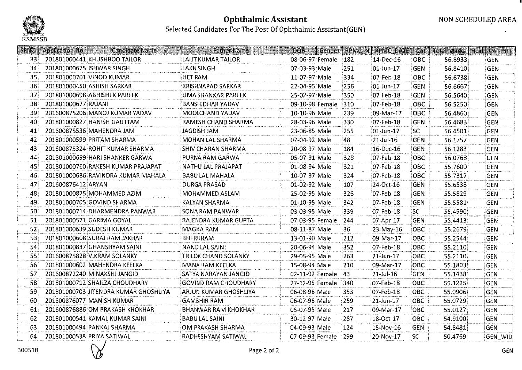

|                 | SRNO   Application No | Candidate Name                        | <b>Father Name</b>           | <b>DOB</b>      |                     |      | Gender   RPMC N   RPMC DATE   Cat |            | <b>Total Marks   Hcat   CAT_SEL</b> |                |
|-----------------|-----------------------|---------------------------------------|------------------------------|-----------------|---------------------|------|-----------------------------------|------------|-------------------------------------|----------------|
| 33 <sup>3</sup> |                       | 201801000441 KHUSHBOO TAILOR          | <b>LALIT KUMAR TAILOR</b>    |                 | 08-06-97 Female 182 |      | 14-Dec-16                         | OBC        | 56.8933                             | <b>GEN</b>     |
| 34              |                       | 201801000625 SHWAR SINGH              | LAKH SINGH                   | 07-03-93 Male   |                     | 251  | 01-Jun-17                         | GEN        | 56.8410                             | <b>GEN</b>     |
| 35              |                       | 201801000701 VINOD KUMAR              | <b>HET RAM</b>               | 11-07-97 Male   |                     | 334  | 07-Feb-18                         | OBC        | 56.6738                             | <b>GEN</b>     |
| 36              |                       | 201801000450 ASHISH SARKAR            | <b>KRISHNAPAD SARKAR</b>     | 22-04-95 Male   |                     | 256  | 01-Jun-17                         | <b>GEN</b> | 56.6667                             | <b>GEN</b>     |
| 37 <sup>1</sup> |                       | 201801000698 ABHISHEK PAREEK          | UMA SHANKAR PAREEK           | 25-02-97 Male   |                     | 350  | 07-Feb-18                         | <b>GEN</b> | 56.5640                             | GEN            |
| 38 <sup>3</sup> | 201801000677 RAJANI   |                                       | <b>BANSHIDHAR YADAV</b>      | 09-10-98 Female |                     | 310  | 07-Feb-18                         | OBC        | 56.5250                             | <b>GEN</b>     |
| 39              |                       | 201600875206 MANOJ KUMAR YADAV        | MOOLCHAND YADAV              | 10-10-96 Male   |                     | 239  | 09-Mar-17                         | OBC        | 56.4860                             | GEN            |
| 40              |                       | 201801000827 HANISH GAUTTAM           | RAMESH CHAND SHARMA          | 28-03-96 Male   |                     | 330  | 07-Feb-18                         | <b>GEN</b> | 56.4683                             | <b>GEN</b>     |
| 41              |                       | 201600875536 MAHENDRA JAM             | JAGDISH JAM                  | 23-06-85 Male   |                     | 255  | 01-Jun-17                         | <b>SC</b>  | 56.4501                             | <b>GEN</b>     |
| 42              |                       | 201801000599 PRITAM SHARMA            | MOHAN LAL SHARMA             | 07-04-92 Male   |                     | 48   | $21$ -Jul-16                      | <b>GEN</b> | 56.1757                             | <b>GEN</b>     |
| 43              |                       | 201600875324 ROHIT KUMAR SHARMA       | SHIV CHARAN SHARMA           | 20-08-97 Male   |                     | 184  | 16-Dec-16                         | <b>GEN</b> | 56.1283                             | <b>GEN</b>     |
| 44              |                       | 201801000699 HARI SHANKER GARWA       | PURNA RAM GARWA              | 05-07-91 Male   |                     | 328  | 07-Feb-18                         | OBC        | 56.0768                             | <b>GEN</b>     |
| 45              |                       | 201801000760 RAKESH KUMAR PRAJAPAT    | NATHU LAL PRAJAPAT           | 01-08-94 Male   |                     | 321  | 07-Feb-18                         | OBC        | 55.7600                             | <b>GEN</b>     |
| -46             |                       | 201801000686 RAVINDRA KUMAR MAHALA    | BABU LAL MAHALA              | 10-07-97 Male   |                     | 324  | 07-Feb-18                         | <b>OBC</b> | 55.7317                             | GEN            |
| 47              | 201600876412 ARYAN    |                                       | <b>DURGA PRASAD</b>          | 01-02-92 Male   |                     | -107 | 24-Oct-16                         | <b>GEN</b> | 55.6538                             | <b>GEN</b>     |
| 48              |                       | 201801000825 MOHAMMED AZIM            | MOHAMMED ASLAM               | 25-02-95 Male   |                     | -326 | 07-Feb-18                         | <b>GEN</b> | 55.5829                             | <b>GEN</b>     |
| 49              |                       | 201801000705 GOVIND SHARMA            | <b>KALYAN SHARMA</b>         | 01-10-95 Male   |                     | 342  | 07-Feb-18                         | GEN        | 55.5581                             | <b>GEN</b>     |
| -50             |                       | 201801000714 DHARMENDRA PANWAR        | SONA RAM PANWAR              | 03-03-95 Male   |                     | 339  | 07-Feb-18                         | SC.        | 55.4590                             | <b>GEN</b>     |
| 51              |                       | 201801000571 GARIMA GOYAL             | RAJENDRA KUMAR GUPTA         | 07-03-95 Female |                     | 244  | 07-Apr-17                         | GEN        | 55,4413                             | <b>GEN</b>     |
| 52              |                       | 201801000639 SUDESH KUMAR             | <b>MAGHA RAM</b>             | 08-11-87 Male   |                     | 36   | 23-May-16                         | OBC        | 55,2679                             | <b>GEN</b>     |
| 53              |                       | 201801000608 SURAJ RAM JAKHAR         | <b>BHERURAM</b>              | 13-01-90 Male   |                     | 212  | 09-Mar-17                         | OBC        | 55.2544                             | <b>GEN</b>     |
| 54              |                       | 201801000837 GHANSHYAM SAINI          | <b>NAND LAL SAINI</b>        | 20-06-94 Male   |                     | 352  | 07-Feb-18                         | OBC        | 55.2110                             | <b>GEN</b>     |
| 55              |                       | 201600875828 VIKRAM SOLANKY           | <b>TRILOK CHAND SOLANKY</b>  | 29-05-95 Male   |                     | 263  | 21-Jun-17                         | OBC        | 55.2110                             | <b>GEN</b>     |
| 56 <sub>1</sub> |                       | 201801000602 MAHENDRA KEELKA          | MANA RAM KEELKA              | 15-08-94 Male   |                     | 210  | 09-Mar-17                         | овс        | 55.1803                             | <b>GEN</b>     |
| 57              |                       | 201600872240 MINAKSHI JANGID          | SATYA NARAYAN JANGID         | 02-11-92 Female |                     | 43   | $21$ -Jul-16                      | <b>GEN</b> | 55.1438                             | <b>GEN</b>     |
| 58              |                       | 201801000712 SHAILZA CHOUDHARY        | <b>GOVIND RAM CHOUDHARY</b>  | 27-12-95 Female |                     | 1340 | 07-Feb-18                         | овс        | 55.1225                             | <b>GEN</b>     |
| 59              |                       | 201801000703 JITENDRA KUMAR GHOSHLIYA | <b>ARJUN KUMAR GHOSHLIYA</b> | 06-08-96 Male   |                     | 353  | 07-Feb-18                         | <b>OBC</b> | 55.0906                             | GEN            |
| -60             |                       | 201600876077 MANISH KUMAR             | <b>GAMBHIR RAM</b>           | 06-07-96 Male   |                     | 259  | 21-Jun-17                         | OBC        | 55.0729                             | <b>GEN</b>     |
| 61              |                       | 201600876886 OM PRAKASH KHOKHAR       | <b>BHANWAR RAM KHOKHAR</b>   | 05-07-95 Male   |                     | 217  | 09-Mar-17                         | OBC        | 55.0127                             | GEN            |
| 62              |                       | 201801000541 KAMAL KUMAR SAINI        | <b>BABULAL SAINI</b>         | 30-12-97 Male   |                     | 287  | 18-Oct-17                         | OBC        | 54.9100                             | GEN            |
| 63              |                       | 201801000494 PANKAJ SHARMA            | OM PRAKASH SHARMA            | 04-09-93 Male   |                     | 124  | 15-Nov-16                         | <b>GEN</b> | 54.8481                             | GEN            |
| 64              |                       | 201801000538 PRIYA SATIWAL            | RADHESHYAM SATIWAL           |                 | 07-09-93 Female 299 |      | 20-Nov-17                         | SC         | 50,4769                             | <b>GEN WID</b> |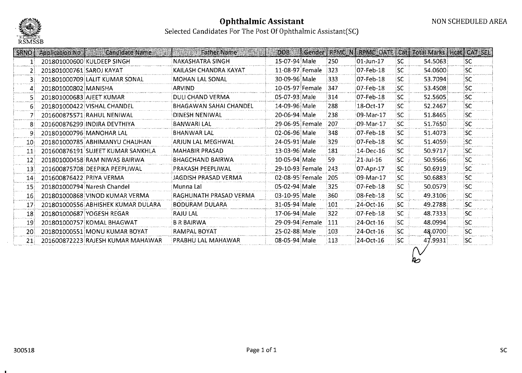

Selected Candidates For The Post Of Ophthalmic Assistant(SC)

| <b>SRNO</b>     | <b>Application No.</b>   | <b>Candidate Name</b>              | <b>Father Name</b>            | DOR             |      |               |           |         | Gender   RPMC N   RPMC DATE   Cat   Total Marks   Heat   CAT SEL |
|-----------------|--------------------------|------------------------------------|-------------------------------|-----------------|------|---------------|-----------|---------|------------------------------------------------------------------|
|                 |                          | 201801000600 KULDEEP SINGH         | <b>NAKASHATRA SINGH</b>       | 15-07-94 Male   | 250  | 01-Jun-17     | SC        | 54.5063 | lsc.                                                             |
|                 | 201801000761 SAROJ KAYAT |                                    | KAILASH CHANDRA KAYAT         | 11-08-97 Female | 323  | 07-Feb-18     | SC.       | 54.0600 | isc.                                                             |
| 31              |                          | 201801000709 LALIT KUMAR SONAL     | MOHAN LAL SONAL               | 30-09-96 Male   | 333  | 07-Feb-18     | SC.       | 53.7094 | isc.                                                             |
| 4               | 201801000802 MANISHA     |                                    | <b>ARVIND</b>                 | 10-05-97 Female | 347  | 07-Feb-18     | SC.       | 53.4508 | <b>SC</b>                                                        |
|                 | 201801000683 AJEET KUMAR |                                    | <b>DULI CHAND VERMA</b>       | 05-07-93 Male   | 314  | 07-Feb-18     | SC.       | 52.5605 | isc                                                              |
| 6.              |                          | 201801000422 VISHAL CHANDEL        | <b>BHAGAWAN SAHAI CHANDEL</b> | 14-09-96 Male   | 288  | 18-Oct-17     | <b>SC</b> | 52.2467 | <b>SC</b>                                                        |
|                 |                          | 201600875571 RAHUL NENIWAL         | <b>DINESH NENIWAL</b>         | 20-06-94 Male   | 238  | 09-Mar-17     | ISC.      | 51.8465 | lsc.                                                             |
|                 |                          | 201600876299 INDIRA DEVTHIYA       | <b>BANWARI LAL</b>            | 29-06-95 Female | 1207 | 09-Mar-17     | SC.       | 51.7650 | <b>SC</b>                                                        |
| 9.              |                          | 201801000796 MANOHAR LAL           | BHANWAR LAL                   | 02-06-96 Male   | 348  | 07-Feb-18     | SC.       | 51.4073 | SC.                                                              |
| 10              |                          | 201801000785 ABHIMANYU CHAUHAN     | ARJUN LAL MEGHWAL             | 24-05-91 Male   | 329  | 07-Feb-18     | SC.       | 51.4059 | SC.                                                              |
| 11              |                          | 201600876191 SUJEET KUMAR SANKHLA  | MAHABIR PRASAD                | 13-03-96 Male   | 181  | 14-Dec-16     | 'SC       | 50.9717 | <b>SC</b>                                                        |
| $ 12\rangle$    |                          | 201801000458 RAM NIWAS BAIRWA      | <b>BHAGCHAND BAIRWA</b>       | 10-05-94 Male   | 59   | $21 -$ Jul-16 | ¦SC∶      | 50.9566 | <b>SC</b>                                                        |
| 13              |                          | 201600875708 DEEPIKA PEEPLIWAL     | PRAKASH PEEPLIWAL             | 29-10-93 Female | 243  | 07-Apr-17     | SC.       | 50.6919 | isc.                                                             |
| 14              | 201600876422 PRIYA VERMA |                                    | JAGDISH PRASAD VERMA          | 02-08-95 Female | 205  | 09-Mar-17     | SC.       | 50.6883 | SC.                                                              |
| 15 <sub>1</sub> |                          | 201801000794 Naresh Chandel        | Munna Lal                     | 05-02-94 Male   | 325  | 07-Feb-18     | <b>SC</b> | 50.0579 | isc.                                                             |
| 16 <sub>1</sub> |                          | 201801000868 VINOD KUMAR VERMA     | RAGHUNATH PRASAD VERMA        | 03-10-95 Male   | 360  | 08-Feb-18     | 'SC       | 49.3106 | <b>SC</b>                                                        |
| 17              |                          | 201801000556 ABHISHEK KUMAR DULARA | <b>BODURAM DULARA</b>         | 31-05-94 Male   | 101  | 24-Oct-16     | SC.       | 49,2788 | <b>SC</b>                                                        |
| 18              |                          | 201801000687 YOGESH REGAR          | <b>RAJU LAL</b>               | 17-06-94 Male   | 322  | 07-Feb-18     | SC.       | 48.7333 | <b>SC</b>                                                        |
| -19             |                          | 201801000757 KOMAL BHAGWAT         | <b>B R BAIRWA</b>             | 29-09-94 Female | 111  | 24-Oct-16     | SC.       | 48.0994 | <b>SC</b>                                                        |
| 20 <sup>1</sup> |                          | 201801000551 MONU KUMAR BOYAT      | RAMPAL BOYAT                  | 25-02-88 Male   | 103  | 24-Oct-16     | <b>SC</b> | 48.0700 | <b>SC</b>                                                        |
| 21              |                          | 201600872223 RAJESH KUMAR MAHAWAR  | PRABHU LAL MAHAWAR            | 08-05-94 Male   | 113  | 24-Oct-16     | SC.       | 47.9931 | isc.                                                             |
|                 |                          |                                    |                               |                 |      |               |           | ∞       |                                                                  |

 $\sim 10^{-1}$ 

 $\sim$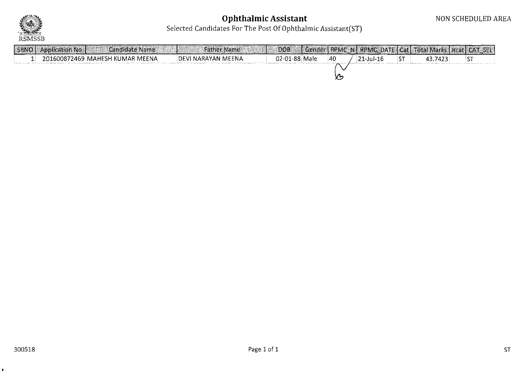

# **Ophthalmic** Assistan

#### Selected Candidates For The Post Of Ophthalmic Assistant(S

| SRNO   Application No | Candidate Name                  | <b>Father Name</b> | <b>DOB</b>    |    |             | Gender   RPMC N   RPMC DATE   Cat   Total Marks   Heat   CAT SEL |  |
|-----------------------|---------------------------------|--------------------|---------------|----|-------------|------------------------------------------------------------------|--|
|                       | 201600872469 MAHESH KUMAR MEENA | DEVI NARAYAN MEENA | 02-01-88 Male | 40 | 121-Jul-16∶ | 43.7423                                                          |  |
|                       |                                 |                    |               |    |             |                                                                  |  |
|                       |                                 |                    |               |    |             |                                                                  |  |

 $\bullet$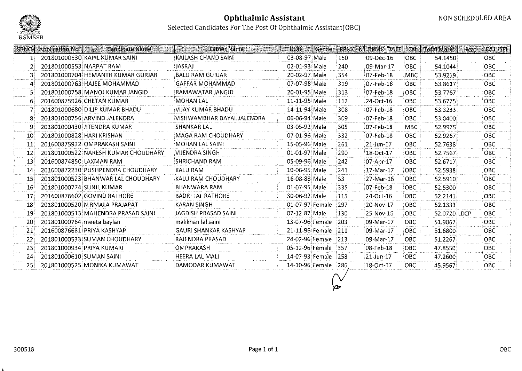

| <b>SRNO</b>     | <b>Application No</b><br><b>Candidate Name</b> | <b>Father Name</b>           | <b>DOB</b>      | Gender |      | <b>RPMC N RPMC DATE</b> | Cat        | <b>Total Marks</b> | CAT SEL<br>Hcat |
|-----------------|------------------------------------------------|------------------------------|-----------------|--------|------|-------------------------|------------|--------------------|-----------------|
| 1:              | 201801000530 KAPIL KUMAR SAINI                 | <b>KAILASH CHAND SAINI</b>   | 03-08-97 Male   |        | 150  | 09-Dec-16               | OBC        | 54.1450            | OBC             |
|                 | 201801000553 NARPAT RAM                        | JASRAJ                       | 02-01-93 Male   |        | 240  | 09-Mar-17               | <b>OBC</b> | 54.1044            | <b>OBC</b>      |
|                 | 201801000704 HEMANTH KUMAR GURJAR              | <b>BALU RAM GURJAR</b>       | 20-02-97 Male   |        | 854  | 07-Feb-18               | MBC        | 53.9219            | <b>OBC</b>      |
| 4               | 201801000763 HAJEE MOHAMMAD                    | <b>GAFFAR MOHAMMAD</b>       | 07-07-98 Male   |        | 319  | 07-Feb-18               | OBC        | 53.8617            | OBC             |
|                 | 201801000758 MANOJ KUMAR JANGID                | RAMAWATAR JANGID             | 20-01-95 Male   |        | 313  | 07-Feb-18               | OBC.       | 53.7767            | OBC             |
| 6.              | 201600875926 CHETAN KUMAR                      | <b>MOHAN LAL</b>             | 11-11-95 Male   |        | 112  | 24-Oct-16               | <b>OBC</b> | 53.6775            | <b>OBC</b>      |
|                 | 201801000680 DILIP KUMAR BHADU                 | VIJAY KUMAR BHADU            | 14-11-94 Male   |        | 308  | 07-Feb-18               | <b>OBC</b> | 53.3233            | OBC             |
|                 | 201801000756 ARVIND JALENDRA                   | VISHWAMBHAR DAYAL JALENDRA   | 06-06-94 Male   |        | 309  | 07-Feb-18               | <b>OBC</b> | 53,0400            | OBC             |
| 9               | 201801000430 JITENDRA KUMAR                    | SHANKAR LAL                  | 03-05-92 Male   |        | 305  | 07-Feb-18               | MBC        | 52.9975            | <b>OBC</b>      |
| $10^{\circ}$    | 201801000828 HARI KRISHAN                      | <b>MAGA RAM CHOUDHARY</b>    | 07-01-96 Male   |        | 332  | 07-Feb-18               | <b>OBC</b> | 52.9267            | OBC.            |
| 11 <sup>1</sup> | 201600875932 OMPRAKASH SAINI                   | MOHAN LAL SAINI              | 15-05-96 Male   |        | 261  | 21-Jun-17               | OBC        | 52.7638            | OBC             |
| 12              | 201801000522 NARESH KUMAR CHOUDHARY            | VIJENDRA SINGH               | 01-01-97 Male   |        | 290  | 18-Oct-17               | <b>OBC</b> | 52.7567            | OBC             |
| -13             | 201600874850 LAXMAN RAM                        | SHRICHAND RAM                | 05-09-96 Male   |        | 242  | 07-Apr-17               | <b>OBC</b> | 52.6717            | <b>OBC</b>      |
| 14 <sub>1</sub> | 201600872230 PUSHPENDRA CHOUDHARY              | KALU RAM                     | 10-06-95 Male   |        | 241  | 17-Mar-17               | <b>OBC</b> | 52.5938            | OBC.            |
| 15              | 201801000523 BHANWAR LAL CHOUDHARY             | KALU RAM CHOUDHARY           | 16-08-88 Male   |        | 53   | 27-Mar-16               | OBC        | 52.5910            | <b>OBC</b>      |
| $16^{\circ}$    | 201801000774 SUNIL KUMAR                       | BHANWARA RAM                 | 01-07-95 Male   |        | 335  | 07-Feb-18               | OBC        | 52.5300            | <b>OBC</b>      |
| 17              | 201600876602 GOVIND RATHORE                    | <b>BADRI LAL RATHORE</b>     | 30-06-92 Male   |        | 115  | 24-Oct-16               | <b>OBC</b> | 52.2141            | OBC             |
| 18              | 201801000520 NIRMALA PRAJAPAT                  | KARAN SINGH                  | 01-07-97 Female |        | 297  | 20-Nov-17               | OBC        | 52.1333            | <b>OBC</b>      |
| 19              | 201801000513 MAHENDRA PRASAD SAINI             | JAGDISH PRASAD SAINI         | 07-12-87 Male   |        | 130  | 25-Nov-16               | <b>OBC</b> | 52.0720 LDCP       | OBC             |
| 20              | 201801000764 meeta baylan                      | makkhan lal saini:           | 13-07-96 Female |        | 203  | 09-Mar-17               | OBC.       | 51.9067            | OBC             |
| 21              | 201600876681 PRIYA KASHYAP                     | <b>GAURI SHANKAR KASHYAP</b> | 21-11-96 Female |        | :211 | 09-Mar-17               | OBC        | 51.6800            | OBC             |
| -221            | 201801000533 SUMAN CHOUDHARY                   | RAJENDRA PRASAD              | 24-02-96 Female |        | 213  | 09-Mar-17               | OBC.       | 51.2267            | ОВС.            |
| -23             | 201801000934 PRIYA KUMARI                      | <b>OMPRAKASH</b>             | 05-12-96 Female |        | :357 | 08-Feb-18               | OBC        | 47.8550            | <b>OBC</b>      |
| -24             | 201801000610 SUMAN SAINI                       | HEERA LAL MALI               | 14-07-93 Female |        | 1258 | 21-Jun-17               | <b>OBC</b> | 47.2600            | OBC.            |
| -251            | 201801000525 MONIKA KUMAWAT                    | DAMODAR KUMAWAT              | 14-10-96 Female |        | -286 | 18-Oct-17               | <b>OBC</b> | 45.9567            | OBC             |
|                 |                                                |                              |                 |        |      |                         |            |                    |                 |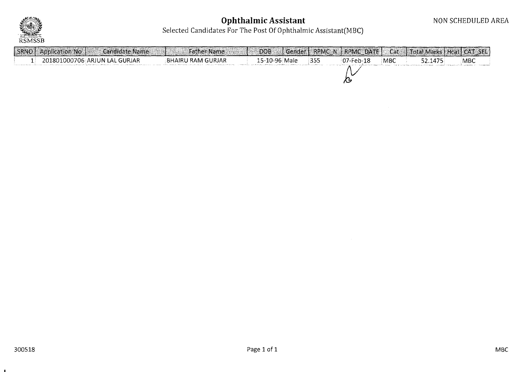

## **Ophthalmic Assistar**

Selected Candidates For The Post Of Ophthalmic Assistant(MB

| SRNO | Application No | <b>Candidate Name</b>         | <b>Father Name</b> | DOB-          | (Gender   RPMC N   RPMC DATE |            | Cat   Total Marks   Heat CAT SEL |            |
|------|----------------|-------------------------------|--------------------|---------------|------------------------------|------------|----------------------------------|------------|
|      |                | 201801000706 ARJUN LAL GURJAR | BHAIRU RAM GURJAR  | 15-10-96 Male | 07-Feb-18                    | <b>MBC</b> | 52.1475                          | <b>MBC</b> |
|      |                |                               |                    |               |                              |            |                                  |            |
|      |                |                               |                    |               |                              |            |                                  |            |

 $\mathbf{a}$